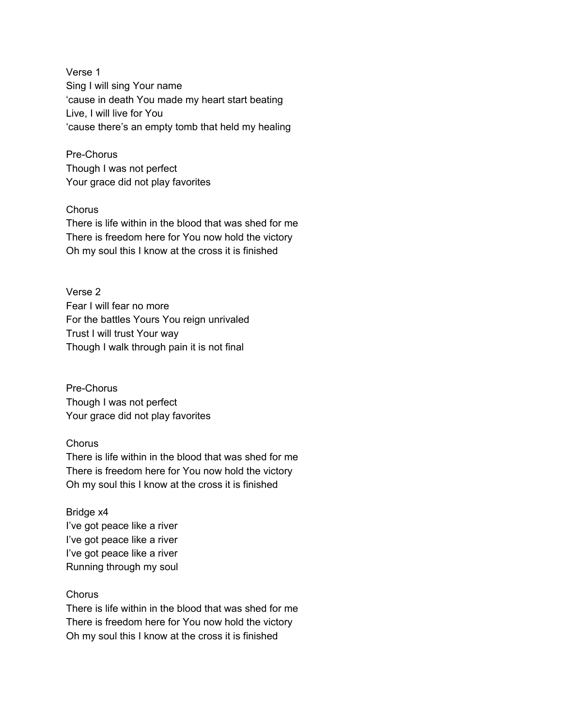Verse 1 Sing I will sing Your name 'cause in death You made my heart start beating Live, I will live for You 'cause there's an empty tomb that held my healing

Pre-Chorus Though I was not perfect Your grace did not play favorites

## **Chorus**

There is life within in the blood that was shed for me There is freedom here for You now hold the victory Oh my soul this I know at the cross it is finished

Verse 2 Fear I will fear no more For the battles Yours You reign unrivaled Trust I will trust Your way Though I walk through pain it is not final

Pre-Chorus Though I was not perfect Your grace did not play favorites

## **Chorus**

There is life within in the blood that was shed for me There is freedom here for You now hold the victory Oh my soul this I know at the cross it is finished

Bridge x4 I've got peace like a river I've got peace like a river I've got peace like a river Running through my soul

## **Chorus**

There is life within in the blood that was shed for me There is freedom here for You now hold the victory Oh my soul this I know at the cross it is finished